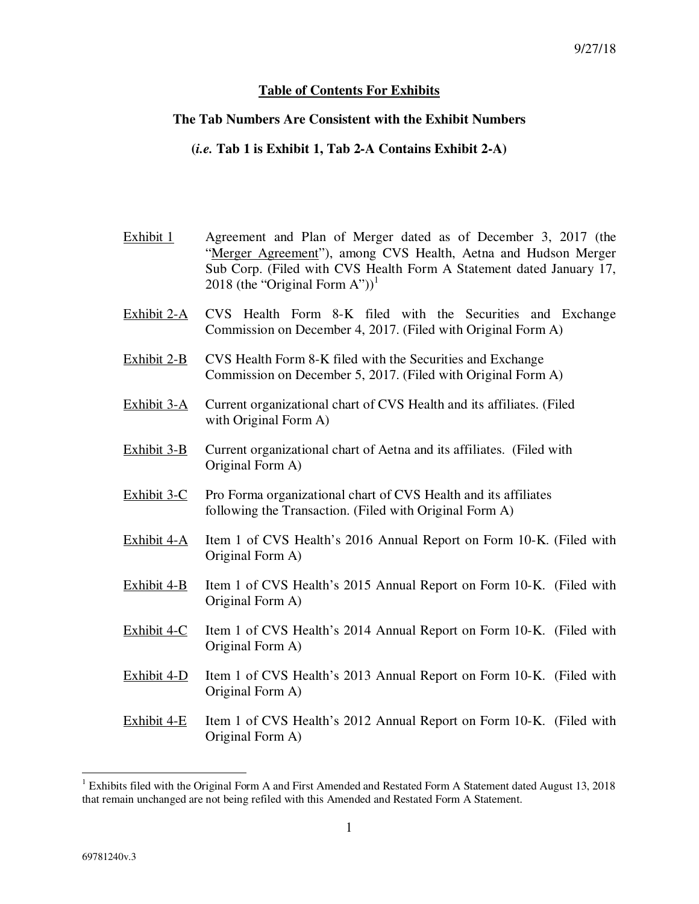## **Table of Contents For Exhibits**

## **The Tab Numbers Are Consistent with the Exhibit Numbers**

**(***i.e.* **Tab 1 is Exhibit 1, Tab 2-A Contains Exhibit 2-A)**

- Exhibit 1 Agreement and Plan of Merger dated as of December 3, 2017 (the "Merger Agreement"), among CVS Health, Aetna and Hudson Merger Sub Corp. (Filed with CVS Health Form A Statement dated January 17, 2018 (the "Original Form A"))<sup>1</sup>
- Exhibit 2-A CVS Health Form 8-K filed with the Securities and Exchange Commission on December 4, 2017. (Filed with Original Form A)
- Exhibit 2-B CVS Health Form 8-K filed with the Securities and Exchange Commission on December 5, 2017. (Filed with Original Form A)
- Exhibit 3-A Current organizational chart of CVS Health and its affiliates. (Filed with Original Form A)
- Exhibit 3-B Current organizational chart of Aetna and its affiliates. (Filed with Original Form A)
- Exhibit 3-C Pro Forma organizational chart of CVS Health and its affiliates following the Transaction. (Filed with Original Form A)
- Exhibit 4-A Item 1 of CVS Health's 2016 Annual Report on Form 10-K. (Filed with Original Form A)
- Exhibit 4-B Item 1 of CVS Health's 2015 Annual Report on Form 10-K. (Filed with Original Form A)
- Exhibit 4-C Item 1 of CVS Health's 2014 Annual Report on Form 10-K. (Filed with Original Form A)
- Exhibit 4-D Item 1 of CVS Health's 2013 Annual Report on Form 10-K. (Filed with Original Form A)
- Exhibit 4-E Item 1 of CVS Health's 2012 Annual Report on Form 10-K. (Filed with Original Form A)

 $\overline{a}$ 

<sup>&</sup>lt;sup>1</sup> Exhibits filed with the Original Form A and First Amended and Restated Form A Statement dated August 13, 2018 that remain unchanged are not being refiled with this Amended and Restated Form A Statement.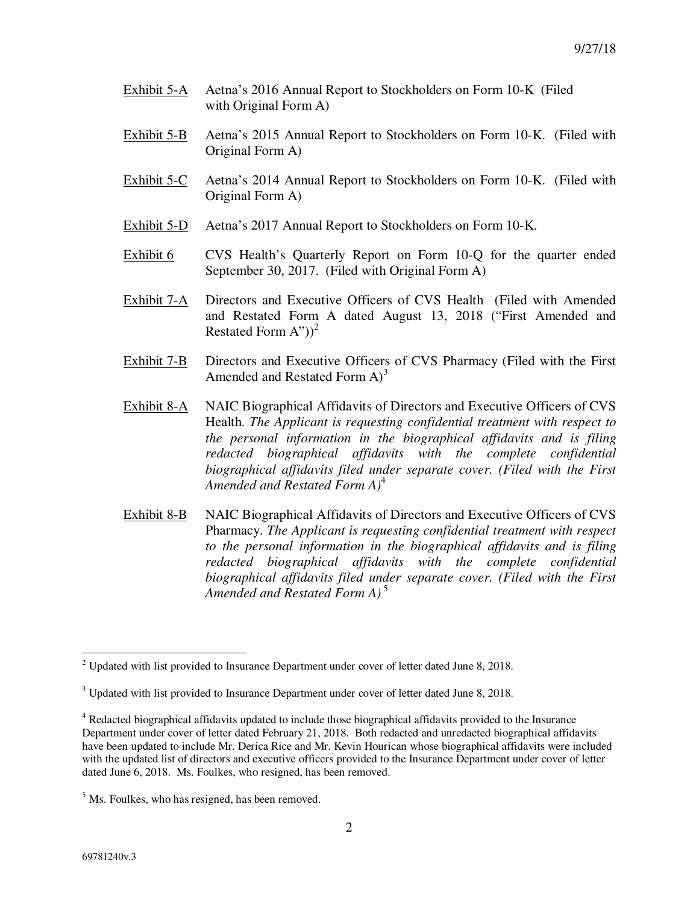- Exhibit 5-A Aetna's 2016 Annual Report to Stockholders on Form 10-K (Filed with Original Form A)
- Exhibit 5-B Aetna's 2015 Annual Report to Stockholders on Form 10-K. (Filed with Original Form A)
- Exhibit 5-C Aetna's 2014 Annual Report to Stockholders on Form 10-K. (Filed with Original Form A)
- Exhibit 5-D Aetna's 2017 Annual Report to Stockholders on Form 10-K.
- Exhibit 6 CVS Health's Quarterly Report on Form 10-Q for the quarter ended September 30, 2017. (Filed with Original Form A)
- Exhibit 7-A Directors and Executive Officers of CVS Health (Filed with Amended and Restated Form A dated August 13, 2018 ("First Amended and Restated Form  $A^{\prime\prime})^2$
- Exhibit 7-B Directors and Executive Officers of CVS Pharmacy (Filed with the First Amended and Restated Form  $A^3$
- Exhibit 8-A NAIC Biographical Affidavits of Directors and Executive Officers of CVS Health. *The Applicant is requesting confidential treatment with respect to the personal information in the biographical affidavits and is filing redacted biographical affidavits with the complete confidential biographical affidavits filed under separate cover. (Filed with the First Amended and Restated Form A)*<sup>4</sup>
- Exhibit 8-B NAIC Biographical Affidavits of Directors and Executive Officers of CVS Pharmacy. *The Applicant is requesting confidential treatment with respect to the personal information in the biographical affidavits and is filing redacted biographical affidavits with the complete confidential biographical affidavits filed under separate cover. (Filed with the First Amended and Restated Form A)* <sup>5</sup>

 $\overline{a}$ 

<sup>&</sup>lt;sup>2</sup> Updated with list provided to Insurance Department under cover of letter dated June 8, 2018.

 $3$  Updated with list provided to Insurance Department under cover of letter dated June 8, 2018.

<sup>&</sup>lt;sup>4</sup> Redacted biographical affidavits updated to include those biographical affidavits provided to the Insurance Department under cover of letter dated February 21, 2018. Both redacted and unredacted biographical affidavits have been updated to include Mr. Derica Rice and Mr. Kevin Hourican whose biographical affidavits were included with the updated list of directors and executive officers provided to the Insurance Department under cover of letter dated June 6, 2018. Ms. Foulkes, who resigned, has been removed.

<sup>&</sup>lt;sup>5</sup> Ms. Foulkes, who has resigned, has been removed.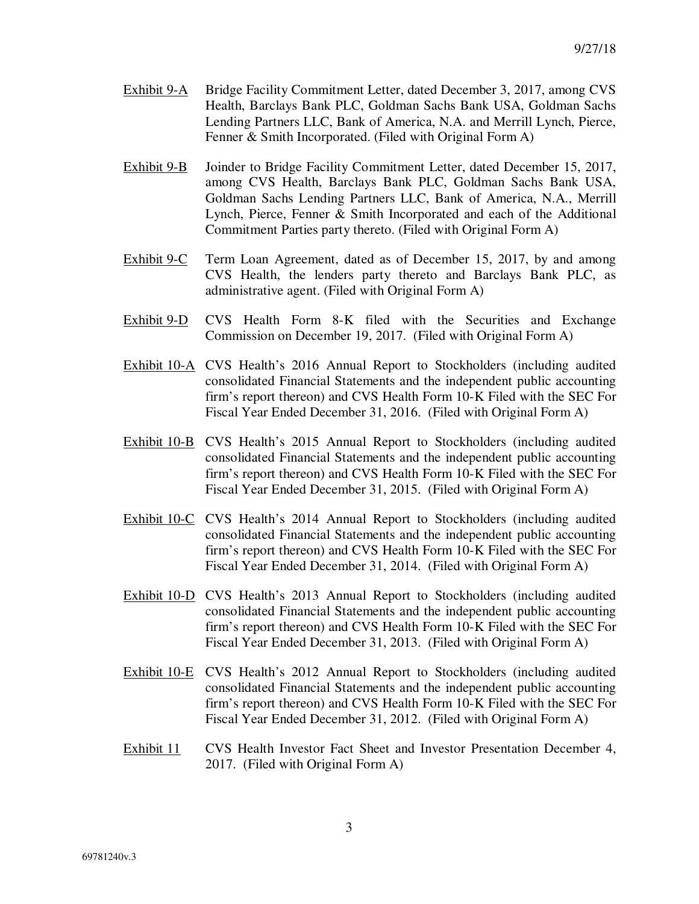- Exhibit 9-A Bridge Facility Commitment Letter, dated December 3, 2017, among CVS Health, Barclays Bank PLC, Goldman Sachs Bank USA, Goldman Sachs Lending Partners LLC, Bank of America, N.A. and Merrill Lynch, Pierce, Fenner & Smith Incorporated. (Filed with Original Form A)
- Exhibit 9-B Joinder to Bridge Facility Commitment Letter, dated December 15, 2017, among CVS Health, Barclays Bank PLC, Goldman Sachs Bank USA, Goldman Sachs Lending Partners LLC, Bank of America, N.A., Merrill Lynch, Pierce, Fenner & Smith Incorporated and each of the Additional Commitment Parties party thereto. (Filed with Original Form A)
- Exhibit 9-C Term Loan Agreement, dated as of December 15, 2017, by and among CVS Health, the lenders party thereto and Barclays Bank PLC, as administrative agent. (Filed with Original Form A)
- Exhibit 9-D CVS Health Form 8-K filed with the Securities and Exchange Commission on December 19, 2017. (Filed with Original Form A)
- Exhibit 10-A CVS Health's 2016 Annual Report to Stockholders (including audited consolidated Financial Statements and the independent public accounting firm's report thereon) and CVS Health Form 10-K Filed with the SEC For Fiscal Year Ended December 31, 2016. (Filed with Original Form A)
- Exhibit 10-B CVS Health's 2015 Annual Report to Stockholders (including audited consolidated Financial Statements and the independent public accounting firm's report thereon) and CVS Health Form 10-K Filed with the SEC For Fiscal Year Ended December 31, 2015. (Filed with Original Form A)
- Exhibit 10-C CVS Health's 2014 Annual Report to Stockholders (including audited consolidated Financial Statements and the independent public accounting firm's report thereon) and CVS Health Form 10-K Filed with the SEC For Fiscal Year Ended December 31, 2014. (Filed with Original Form A)
- Exhibit 10-D CVS Health's 2013 Annual Report to Stockholders (including audited consolidated Financial Statements and the independent public accounting firm's report thereon) and CVS Health Form 10-K Filed with the SEC For Fiscal Year Ended December 31, 2013. (Filed with Original Form A)
- Exhibit 10-E CVS Health's 2012 Annual Report to Stockholders (including audited consolidated Financial Statements and the independent public accounting firm's report thereon) and CVS Health Form 10-K Filed with the SEC For Fiscal Year Ended December 31, 2012. (Filed with Original Form A)
- Exhibit 11 CVS Health Investor Fact Sheet and Investor Presentation December 4, 2017. (Filed with Original Form A)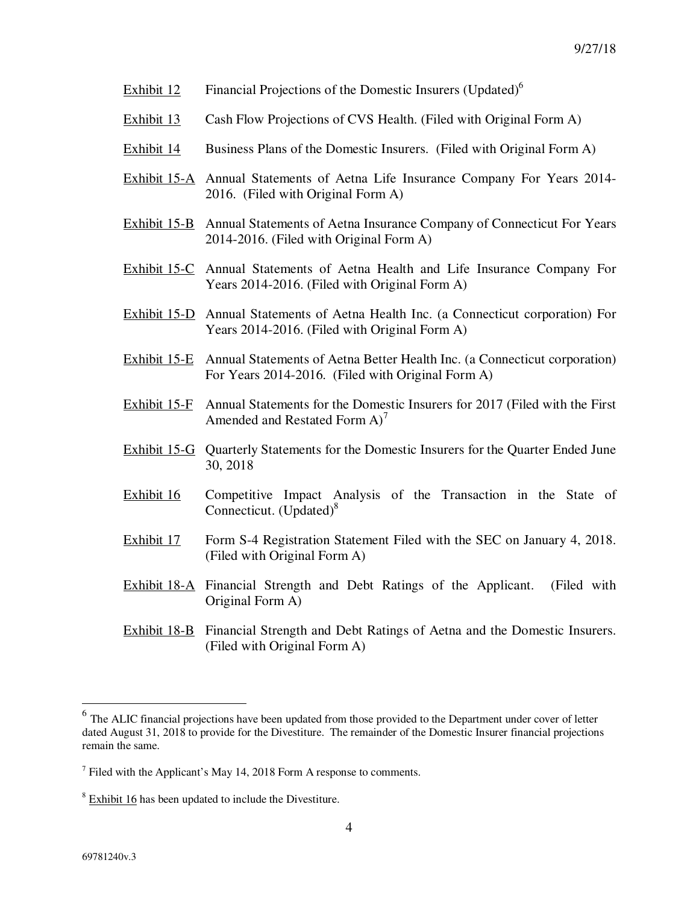- Exhibit 12 Financial Projections of the Domestic Insurers (Updated) $<sup>6</sup>$ </sup>
- Exhibit 13 Cash Flow Projections of CVS Health. (Filed with Original Form A)
- Exhibit 14 Business Plans of the Domestic Insurers. (Filed with Original Form A)
- Exhibit 15-A Annual Statements of Aetna Life Insurance Company For Years 2014- 2016. (Filed with Original Form A)
- Exhibit 15-B Annual Statements of Aetna Insurance Company of Connecticut For Years 2014-2016. (Filed with Original Form A)
- Exhibit 15-C Annual Statements of Aetna Health and Life Insurance Company For Years 2014-2016. (Filed with Original Form A)
- Exhibit 15-D Annual Statements of Aetna Health Inc. (a Connecticut corporation) For Years 2014-2016. (Filed with Original Form A)
- Exhibit 15-E Annual Statements of Aetna Better Health Inc. (a Connecticut corporation) For Years 2014-2016. (Filed with Original Form A)
- Exhibit 15-F Annual Statements for the Domestic Insurers for 2017 (Filed with the First Amended and Restated Form  $A^2$
- Exhibit 15-G Quarterly Statements for the Domestic Insurers for the Quarter Ended June 30, 2018
- Exhibit 16 Competitive Impact Analysis of the Transaction in the State of Connecticut. (Updated) $8^8$
- Exhibit 17 Form S-4 Registration Statement Filed with the SEC on January 4, 2018. (Filed with Original Form A)
- Exhibit 18-A Financial Strength and Debt Ratings of the Applicant. (Filed with Original Form A)
- Exhibit 18-B Financial Strength and Debt Ratings of Aetna and the Domestic Insurers. (Filed with Original Form A)

<sup>&</sup>lt;sup>6</sup> The ALIC financial projections have been updated from those provided to the Department under cover of letter dated August 31, 2018 to provide for the Divestiture. The remainder of the Domestic Insurer financial projections remain the same.

 $<sup>7</sup>$  Filed with the Applicant's May 14, 2018 Form A response to comments.</sup>

 $8 \text{ Exhibit } 16$  has been updated to include the Divestiture.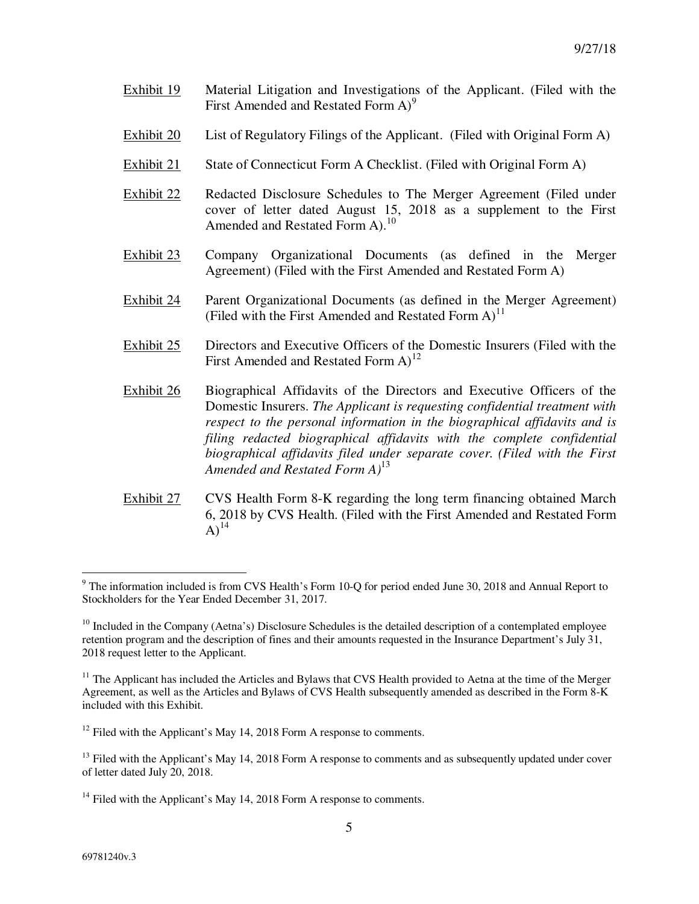- Exhibit 19 Material Litigation and Investigations of the Applicant. (Filed with the First Amended and Restated Form  $A$ <sup>9</sup>
- Exhibit 20 List of Regulatory Filings of the Applicant. (Filed with Original Form A)
- Exhibit 21 State of Connecticut Form A Checklist. (Filed with Original Form A)
- Exhibit 22 Redacted Disclosure Schedules to The Merger Agreement (Filed under cover of letter dated August 15, 2018 as a supplement to the First Amended and Restated Form A).<sup>10</sup>
- Exhibit 23 Company Organizational Documents (as defined in the Merger Agreement) (Filed with the First Amended and Restated Form A)
- Exhibit 24 Parent Organizational Documents (as defined in the Merger Agreement) (Filed with the First Amended and Restated Form  $A$ )<sup>11</sup>
- Exhibit 25 Directors and Executive Officers of the Domestic Insurers (Filed with the First Amended and Restated Form  $A$ <sup>12</sup>
- Exhibit 26 Biographical Affidavits of the Directors and Executive Officers of the Domestic Insurers. *The Applicant is requesting confidential treatment with respect to the personal information in the biographical affidavits and is filing redacted biographical affidavits with the complete confidential biographical affidavits filed under separate cover. (Filed with the First Amended and Restated Form A)*<sup>13</sup>
- Exhibit 27 CVS Health Form 8-K regarding the long term financing obtained March 6, 2018 by CVS Health. (Filed with the First Amended and Restated Form  $A)^{14}$

<sup>&</sup>lt;sup>9</sup> The information included is from CVS Health's Form 10-Q for period ended June 30, 2018 and Annual Report to Stockholders for the Year Ended December 31, 2017.

 $10$  Included in the Company (Aetna's) Disclosure Schedules is the detailed description of a contemplated employee retention program and the description of fines and their amounts requested in the Insurance Department's July 31, 2018 request letter to the Applicant.

 $11$  The Applicant has included the Articles and Bylaws that CVS Health provided to Aetna at the time of the Merger Agreement, as well as the Articles and Bylaws of CVS Health subsequently amended as described in the Form 8-K included with this Exhibit.

 $12$  Filed with the Applicant's May 14, 2018 Form A response to comments.

<sup>&</sup>lt;sup>13</sup> Filed with the Applicant's May 14, 2018 Form A response to comments and as subsequently updated under cover of letter dated July 20, 2018.

 $14$  Filed with the Applicant's May 14, 2018 Form A response to comments.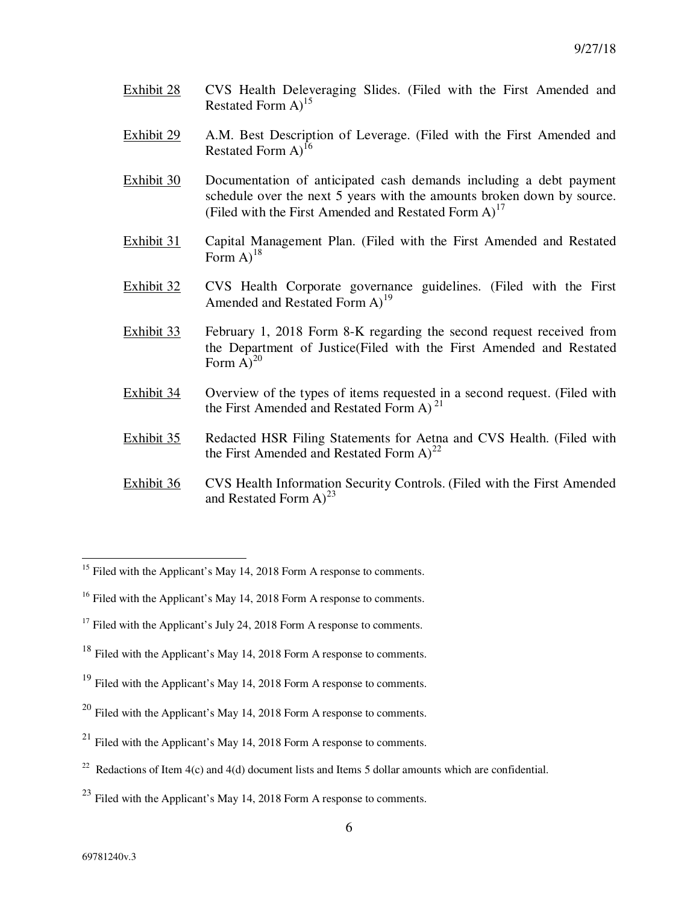- Exhibit 28 CVS Health Deleveraging Slides. (Filed with the First Amended and Restated Form  $A$ <sup>15</sup>
- Exhibit 29 A.M. Best Description of Leverage. (Filed with the First Amended and Restated Form  $A$ <sup>16</sup>
- Exhibit 30 Documentation of anticipated cash demands including a debt payment schedule over the next 5 years with the amounts broken down by source. (Filed with the First Amended and Restated Form  $A$ )<sup>17</sup>
- Exhibit 31 Capital Management Plan. (Filed with the First Amended and Restated Form  $A$ <sup>18</sup>
- Exhibit 32 CVS Health Corporate governance guidelines. (Filed with the First Amended and Restated Form  $A$ <sup>19</sup>
- Exhibit 33 February 1, 2018 Form 8-K regarding the second request received from the Department of Justice(Filed with the First Amended and Restated Form  $\overline{A}$ <sup>20</sup>
- Exhibit 34 Overview of the types of items requested in a second request. (Filed with the First Amended and Restated Form A)<sup>21</sup>
- Exhibit 35 Redacted HSR Filing Statements for Aetna and CVS Health. (Filed with the First Amended and Restated Form  $A^{22}$
- Exhibit 36 CVS Health Information Security Controls. (Filed with the First Amended and Restated Form  $A^{23}$

<sup>19</sup> Filed with the Applicant's May 14, 2018 Form A response to comments.

-

<sup>&</sup>lt;sup>15</sup> Filed with the Applicant's May 14, 2018 Form A response to comments.

<sup>&</sup>lt;sup>16</sup> Filed with the Applicant's May 14, 2018 Form A response to comments.

 $17$  Filed with the Applicant's July 24, 2018 Form A response to comments.

<sup>&</sup>lt;sup>18</sup> Filed with the Applicant's May 14, 2018 Form A response to comments.

 $20$  Filed with the Applicant's May 14, 2018 Form A response to comments.

<sup>&</sup>lt;sup>21</sup> Filed with the Applicant's May 14, 2018 Form A response to comments.

<sup>&</sup>lt;sup>22</sup> Redactions of Item 4(c) and 4(d) document lists and Items 5 dollar amounts which are confidential.

 $^{23}$  Filed with the Applicant's May 14, 2018 Form A response to comments.